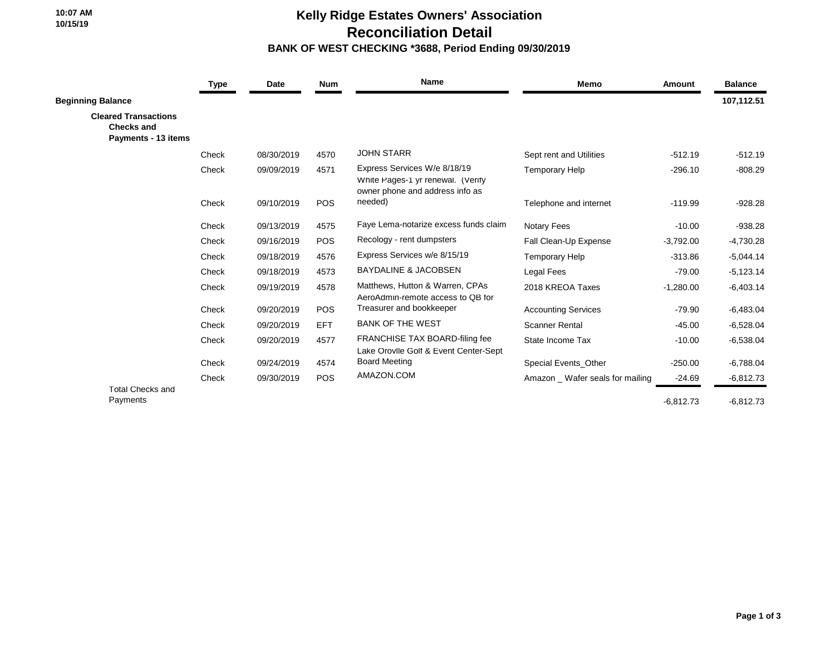**10:07 AM 10/15/19**

## **Kelly Ridge Estates Owners' Association Reconciliation Detail BANK OF WEST CHECKING \*3688, Period Ending 09/30/2019**

|                                                                         | Type  | Date       | <b>Num</b> | <b>Name</b>                                                                                          | <b>Memo</b>                    | Amount      | <b>Balance</b> |
|-------------------------------------------------------------------------|-------|------------|------------|------------------------------------------------------------------------------------------------------|--------------------------------|-------------|----------------|
| <b>Beginning Balance</b>                                                |       |            |            |                                                                                                      |                                |             | 107,112.51     |
| <b>Cleared Transactions</b><br><b>Checks and</b><br>Payments - 13 items |       |            |            |                                                                                                      |                                |             |                |
|                                                                         | Check | 08/30/2019 | 4570       | <b>JOHN STARR</b>                                                                                    | Sept rent and Utilities        | $-512.19$   | $-512.19$      |
|                                                                         | Check | 09/09/2019 | 4571       | Express Services W/e 8/18/19<br>White Pages-1 yr renewal. (Verify<br>owner phone and address info as | <b>Temporary Help</b>          | $-296.10$   | $-808.29$      |
|                                                                         | Check | 09/10/2019 | <b>POS</b> | needed)                                                                                              | Telephone and internet         | $-119.99$   | $-928.28$      |
|                                                                         | Check | 09/13/2019 | 4575       | Faye Lema-notarize excess funds claim                                                                | <b>Notary Fees</b>             | $-10.00$    | $-938.28$      |
|                                                                         | Check | 09/16/2019 | <b>POS</b> | Recology - rent dumpsters                                                                            | Fall Clean-Up Expense          | $-3,792.00$ | $-4,730.28$    |
|                                                                         | Check | 09/18/2019 | 4576       | Express Services w/e 8/15/19                                                                         | <b>Temporary Help</b>          | $-313.86$   | $-5,044.14$    |
|                                                                         | Check | 09/18/2019 | 4573       | <b>BAYDALINE &amp; JACOBSEN</b>                                                                      | Legal Fees                     | $-79.00$    | $-5,123.14$    |
|                                                                         | Check | 09/19/2019 | 4578       | Matthews, Hutton & Warren, CPAs<br>AeroAdmin-remote access to QB for                                 | 2018 KREOA Taxes               | $-1,280.00$ | $-6,403.14$    |
|                                                                         | Check | 09/20/2019 | POS        | Treasurer and bookkeeper                                                                             | <b>Accounting Services</b>     | $-79.90$    | $-6,483.04$    |
|                                                                         | Check | 09/20/2019 | <b>EFT</b> | <b>BANK OF THE WEST</b>                                                                              | <b>Scanner Rental</b>          | $-45.00$    | $-6,528.04$    |
|                                                                         | Check | 09/20/2019 | 4577       | FRANCHISE TAX BOARD-filing fee<br>Lake Orovile Golf & Event Center-Sept                              | State Income Tax               | $-10.00$    | $-6,538.04$    |
|                                                                         | Check | 09/24/2019 | 4574       | <b>Board Meeting</b>                                                                                 | Special Events Other           | $-250.00$   | $-6,788.04$    |
|                                                                         | Check | 09/30/2019 | <b>POS</b> | AMAZON.COM                                                                                           | Amazon Wafer seals for mailing | $-24.69$    | $-6,812.73$    |
| <b>Total Checks and</b><br>Payments                                     |       |            |            |                                                                                                      |                                | $-6,812.73$ | $-6,812.73$    |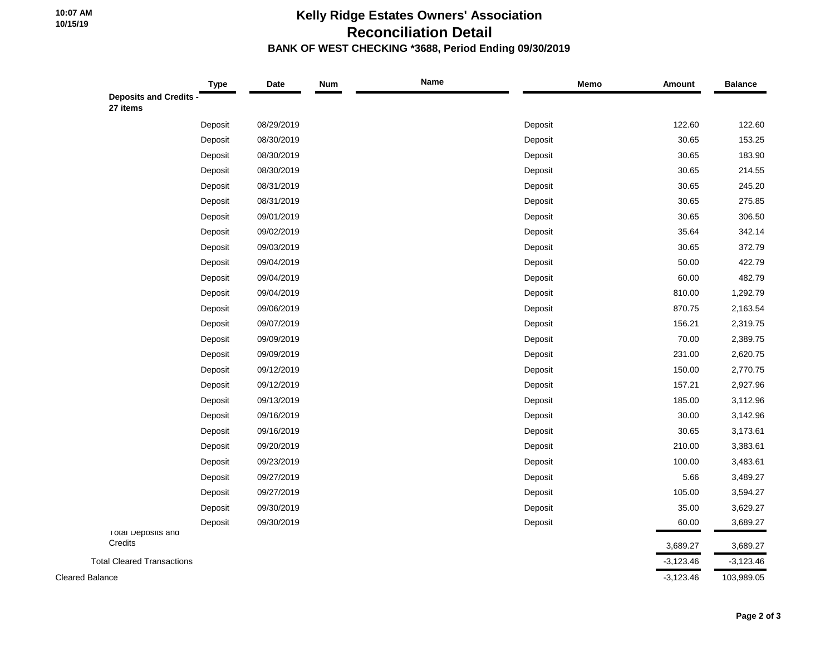## **Kelly Ridge Estates Owners' Association Reconciliation Detail BANK OF WEST CHECKING \*3688, Period Ending 09/30/2019**

| Type                                    | Date       | <b>Num</b> | <b>Name</b> | Memo    | Amount      | <b>Balance</b> |
|-----------------------------------------|------------|------------|-------------|---------|-------------|----------------|
| <b>Deposits and Credits</b><br>27 items |            |            |             |         |             |                |
| Deposit                                 | 08/29/2019 |            |             | Deposit | 122.60      | 122.60         |
| Deposit                                 | 08/30/2019 |            |             | Deposit | 30.65       | 153.25         |
| Deposit                                 | 08/30/2019 |            |             | Deposit | 30.65       | 183.90         |
| Deposit                                 | 08/30/2019 |            |             | Deposit | 30.65       | 214.55         |
| Deposit                                 | 08/31/2019 |            |             | Deposit | 30.65       | 245.20         |
| Deposit                                 | 08/31/2019 |            |             | Deposit | 30.65       | 275.85         |
| Deposit                                 | 09/01/2019 |            |             | Deposit | 30.65       | 306.50         |
| Deposit                                 | 09/02/2019 |            |             | Deposit | 35.64       | 342.14         |
| Deposit                                 | 09/03/2019 |            |             | Deposit | 30.65       | 372.79         |
| Deposit                                 | 09/04/2019 |            |             | Deposit | 50.00       | 422.79         |
| Deposit                                 | 09/04/2019 |            |             | Deposit | 60.00       | 482.79         |
| Deposit                                 | 09/04/2019 |            |             | Deposit | 810.00      | 1,292.79       |
| Deposit                                 | 09/06/2019 |            |             | Deposit | 870.75      | 2,163.54       |
| Deposit                                 | 09/07/2019 |            |             | Deposit | 156.21      | 2,319.75       |
| Deposit                                 | 09/09/2019 |            |             | Deposit | 70.00       | 2,389.75       |
| Deposit                                 | 09/09/2019 |            |             | Deposit | 231.00      | 2,620.75       |
| Deposit                                 | 09/12/2019 |            |             | Deposit | 150.00      | 2,770.75       |
| Deposit                                 | 09/12/2019 |            |             | Deposit | 157.21      | 2,927.96       |
| Deposit                                 | 09/13/2019 |            |             | Deposit | 185.00      | 3,112.96       |
| Deposit                                 | 09/16/2019 |            |             | Deposit | 30.00       | 3,142.96       |
| Deposit                                 | 09/16/2019 |            |             | Deposit | 30.65       | 3,173.61       |
| Deposit                                 | 09/20/2019 |            |             | Deposit | 210.00      | 3,383.61       |
| Deposit                                 | 09/23/2019 |            |             | Deposit | 100.00      | 3,483.61       |
| Deposit                                 | 09/27/2019 |            |             | Deposit | 5.66        | 3,489.27       |
| Deposit                                 | 09/27/2019 |            |             | Deposit | 105.00      | 3,594.27       |
| Deposit                                 | 09/30/2019 |            |             | Deposit | 35.00       | 3,629.27       |
| Deposit                                 | 09/30/2019 |            |             | Deposit | 60.00       | 3,689.27       |
| I otal Deposits and<br>Credits          |            |            |             |         | 3,689.27    | 3,689.27       |
| <b>Total Cleared Transactions</b>       |            |            |             |         | $-3,123.46$ | $-3,123.46$    |
| <b>Cleared Balance</b>                  |            |            |             |         | $-3,123.46$ | 103,989.05     |